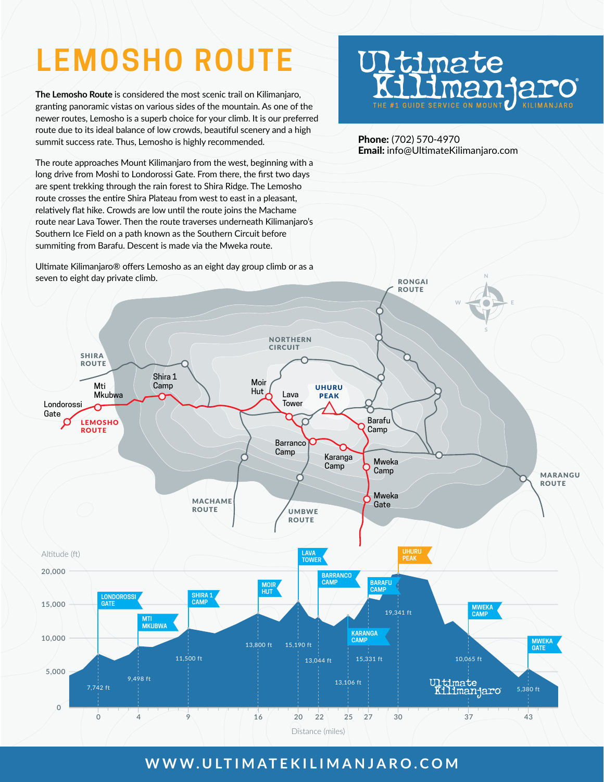# **LEMOSHO ROUTE**

**The Lemosho Route** is considered the most scenic trail on Kilimanjaro, granting panoramic vistas on various sides of the mountain. As one of the newer routes, Lemosho is a superb choice for your climb. It is our preferred route due to its ideal balance of low crowds, beautiful scenery and a high summit success rate. Thus, Lemosho is highly recommended.

The route approaches Mount Kilimanjaro from the west, beginning with a long drive from Moshi to Londorossi Gate. From there, the first two days are spent trekking through the rain forest to Shira Ridge. The Lemosho route crosses the entire Shira Plateau from west to east in a pleasant, relatively flat hike. Crowds are low until the route joins the Machame route near Lava Tower. Then the route traverses underneath Kilimanjaro's Southern Ice Field on a path known as the Southern Circuit before summiting from Barafu. Descent is made via the Mweka route.

Ultimate Kilimanjaro® offers Lemosho as an eight day group climb or as a

# **J1timate** KELLIMAN JAM

Phone: (702) 570-4970 Email: info@UltimateKilimanjaro.com



### **WWW.ULTIMATEKILIMANJARO.COM**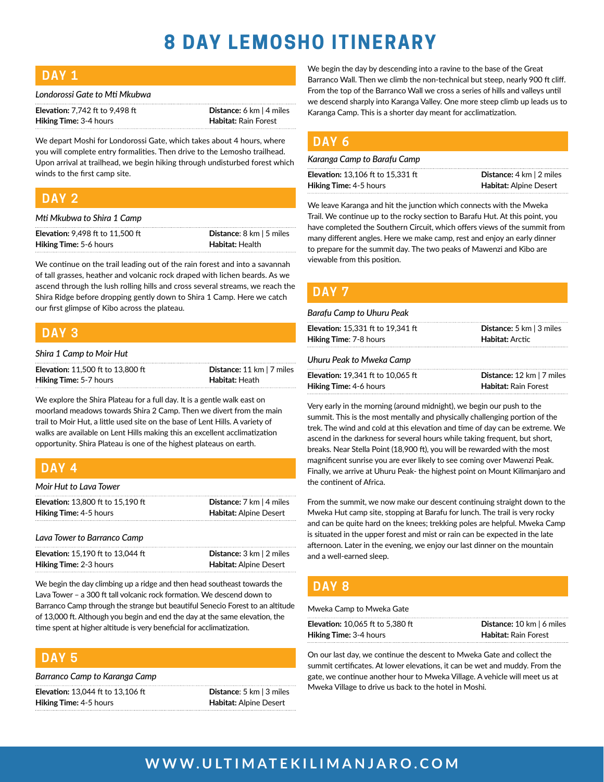## **8 DAY LEMOSHO ITINERARY**

| <b>Contract Contract Contract Contract Contract Contract Contract Contract Contract Contract Contract Contract C</b>            | W. | ٠ |                              |
|---------------------------------------------------------------------------------------------------------------------------------|----|---|------------------------------|
|                                                                                                                                 |    |   |                              |
|                                                                                                                                 |    |   |                              |
| $\mathcal{L}^{\text{max}}_{\text{max}}$ and $\mathcal{L}^{\text{max}}_{\text{max}}$ and $\mathcal{L}^{\text{max}}_{\text{max}}$ |    |   | __<br><b>Service Service</b> |

| Londorossi Gate to Mti Mkubwa |  |  |  |
|-------------------------------|--|--|--|
|-------------------------------|--|--|--|

| <b>Elevation:</b> 7,742 ft to 9,498 ft | <b>Distance:</b> 6 km $ $ 4 miles |
|----------------------------------------|-----------------------------------|
| <b>Hiking Time: 3-4 hours</b>          | <b>Habitat:</b> Rain Forest       |

We depart Moshi for Londorossi Gate, which takes about 4 hours, where you will complete entry formalities. Then drive to the Lemosho trailhead. Upon arrival at trailhead, we begin hiking through undisturbed forest which winds to the first camp site.

#### **DAY 2**

| Mti Mkubwa to Shira 1 Camp              |                                           |
|-----------------------------------------|-------------------------------------------|
| <b>Elevation: 9.498 ft to 11.500 ft</b> | <b>Distance:</b> $8 \text{ km}$   5 miles |
| <b>Hiking Time:</b> 5-6 hours           | Habitat: Health                           |

We continue on the trail leading out of the rain forest and into a savannah of tall grasses, heather and volcanic rock draped with lichen beards. As we ascend through the lush rolling hills and cross several streams, we reach the Shira Ridge before dropping gently down to Shira 1 Camp. Here we catch our first glimpse of Kibo across the plateau.

#### **DAY 3**

#### *Shira 1 Camp to Moir Hut*

| <b>Elevation: 11.500 ft to 13.800 ft</b> | <b>Distance:</b> 11 km $ 7$ miles |
|------------------------------------------|-----------------------------------|
| <b>Hiking Time: 5-7 hours</b>            | Habitat: Heath                    |

We explore the Shira Plateau for a full day. It is a gentle walk east on moorland meadows towards Shira 2 Camp. Then we divert from the main trail to Moir Hut, a little used site on the base of Lent Hills. A variety of walks are available on Lent Hills making this an excellent acclimatization opportunity. Shira Plateau is one of the highest plateaus on earth.

#### **DAY 4**

| Moir Hut to Lava Tower                   |                                           |
|------------------------------------------|-------------------------------------------|
| <b>Elevation: 13.800 ft to 15.190 ft</b> | <b>Distance:</b> $7 \text{ km}$   4 miles |
| <b>Hiking Time: 4-5 hours</b>            | Habitat: Alpine Desert                    |
|                                          |                                           |

#### *Lava Tower to Barranco Camp*

| <b>Elevation: 15.190 ft to 13.044 ft</b> | <b>Distance:</b> $3 \text{ km}$   $2 \text{ miles}$ |
|------------------------------------------|-----------------------------------------------------|
| <b>Hiking Time: 2-3 hours</b>            | <b>Habitat: Alpine Desert</b>                       |

We begin the day climbing up a ridge and then head southeast towards the Lava Tower – a 300 ft tall volcanic rock formation. We descend down to Barranco Camp through the strange but beautiful Senecio Forest to an altitude of 13,000 ft. Although you begin and end the day at the same elevation, the time spent at higher altitude is very beneficial for acclimatization.

#### **DAY 5**

| Barranco Camp to Karanga Camp |  |  |  |  |
|-------------------------------|--|--|--|--|
|-------------------------------|--|--|--|--|

| <b>Elevation:</b> 13,044 ft to 13,106 ft | <b>Distance:</b> 5 km $\vert$ 3 miles |
|------------------------------------------|---------------------------------------|
| <b>Hiking Time: 4-5 hours</b>            | <b>Habitat:</b> Alpine Desert         |

We begin the day by descending into a ravine to the base of the Great Barranco Wall. Then we climb the non-technical but steep, nearly 900 ft cliff. From the top of the Barranco Wall we cross a series of hills and valleys until we descend sharply into Karanga Valley. One more steep climb up leads us to Karanga Camp. This is a shorter day meant for acclimatization.

#### **DAY 6**

#### *Karanga Camp to Barafu Camp*

| <b>Elevation:</b> 13,106 ft to 15,331 ft | <b>Distance:</b> $4 \text{ km}$   $2 \text{ miles}$ |
|------------------------------------------|-----------------------------------------------------|
| <b>Hiking Time: 4-5 hours</b>            | <b>Habitat:</b> Alpine Desert                       |

We leave Karanga and hit the junction which connects with the Mweka Trail. We continue up to the rocky section to Barafu Hut. At this point, you have completed the Southern Circuit, which offers views of the summit from many different angles. Here we make camp, rest and enjoy an early dinner to prepare for the summit day. The two peaks of Mawenzi and Kibo are viewable from this position.

#### **DAY 7**

#### *Barafu Camp to Uhuru Peak*

| <b>Elevation:</b> 15,331 ft to 19,341 ft | Distance: 5 km   3 miles    |
|------------------------------------------|-----------------------------|
| <b>Hiking Time: 7-8 hours</b>            | Habitat: Arctic             |
| Uhuru Peak to Mweka Camp                 |                             |
| <b>Elevation:</b> 19.341 ft to 10.065 ft | Distance: 12 km   7 miles   |
| <b>Hiking Time: 4-6 hours</b>            | <b>Habitat: Rain Forest</b> |

Very early in the morning (around midnight), we begin our push to the summit. This is the most mentally and physically challenging portion of the trek. The wind and cold at this elevation and time of day can be extreme. We ascend in the darkness for several hours while taking frequent, but short, breaks. Near Stella Point (18,900 ft), you will be rewarded with the most magnificent sunrise you are ever likely to see coming over Mawenzi Peak. Finally, we arrive at Uhuru Peak- the highest point on Mount Kilimanjaro and the continent of Africa.

From the summit, we now make our descent continuing straight down to the Mweka Hut camp site, stopping at Barafu for lunch. The trail is very rocky and can be quite hard on the knees; trekking poles are helpful. Mweka Camp is situated in the upper forest and mist or rain can be expected in the late afternoon. Later in the evening, we enjoy our last dinner on the mountain and a well-earned sleep.

#### **DAY 8**

Mweka Camp to Mweka Gate

| <b>Elevation:</b> 10.065 ft to 5.380 ft | <b>Distance:</b> 10 km $\vert$ 6 miles |
|-----------------------------------------|----------------------------------------|
| <b>Hiking Time:</b> 3-4 hours           | <b>Habitat: Rain Forest</b>            |

On our last day, we continue the descent to Mweka Gate and collect the summit certificates. At lower elevations, it can be wet and muddy. From the gate, we continue another hour to Mweka Village. A vehicle will meet us at Mweka Village to drive us back to the hotel in Moshi.

### **WWW.ULTIMATEKILIMANJARO.COM**